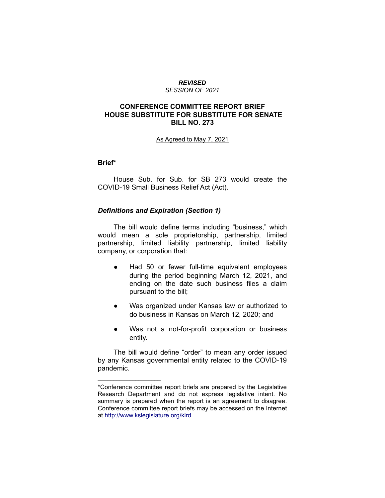#### *REVISED SESSION OF 2021*

## **CONFERENCE COMMITTEE REPORT BRIEF HOUSE SUBSTITUTE FOR SUBSTITUTE FOR SENATE BILL NO. 273**

### As Agreed to May 7, 2021

## **Brief\***

House Sub. for Sub. for SB 273 would create the COVID-19 Small Business Relief Act (Act).

### *Definitions and Expiration (Section 1)*

 $\mathcal{L}=\{1,2,3,4,5\}$ 

The bill would define terms including "business," which would mean a sole proprietorship, partnership, limited partnership, limited liability partnership, limited liability company, or corporation that:

- Had 50 or fewer full-time equivalent employees during the period beginning March 12, 2021, and ending on the date such business files a claim pursuant to the bill;
- Was organized under Kansas law or authorized to do business in Kansas on March 12, 2020; and
- Was not a not-for-profit corporation or business entity.

The bill would define "order" to mean any order issued by any Kansas governmental entity related to the COVID-19 pandemic.

<sup>\*</sup>Conference committee report briefs are prepared by the Legislative Research Department and do not express legislative intent. No summary is prepared when the report is an agreement to disagree. Conference committee report briefs may be accessed on the Internet at<http://www.kslegislature.org/klrd>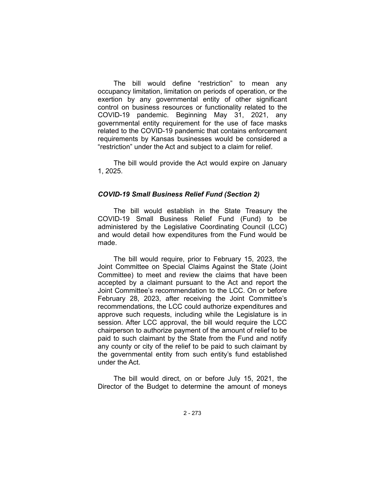The bill would define "restriction" to mean any occupancy limitation, limitation on periods of operation, or the exertion by any governmental entity of other significant control on business resources or functionality related to the COVID-19 pandemic. Beginning May 31, 2021, any governmental entity requirement for the use of face masks related to the COVID-19 pandemic that contains enforcement requirements by Kansas businesses would be considered a "restriction" under the Act and subject to a claim for relief.

The bill would provide the Act would expire on January 1, 2025.

### *COVID-19 Small Business Relief Fund (Section 2)*

The bill would establish in the State Treasury the COVID-19 Small Business Relief Fund (Fund) to be administered by the Legislative Coordinating Council (LCC) and would detail how expenditures from the Fund would be made.

The bill would require, prior to February 15, 2023, the Joint Committee on Special Claims Against the State (Joint Committee) to meet and review the claims that have been accepted by a claimant pursuant to the Act and report the Joint Committee's recommendation to the LCC. On or before February 28, 2023, after receiving the Joint Committee's recommendations, the LCC could authorize expenditures and approve such requests, including while the Legislature is in session. After LCC approval, the bill would require the LCC chairperson to authorize payment of the amount of relief to be paid to such claimant by the State from the Fund and notify any county or city of the relief to be paid to such claimant by the governmental entity from such entity's fund established under the Act.

The bill would direct, on or before July 15, 2021, the Director of the Budget to determine the amount of moneys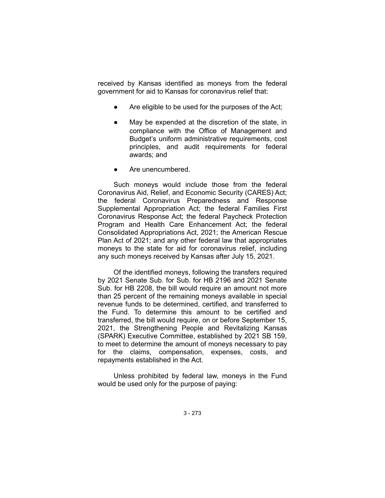received by Kansas identified as moneys from the federal government for aid to Kansas for coronavirus relief that:

- Are eligible to be used for the purposes of the Act;
- May be expended at the discretion of the state, in compliance with the Office of Management and Budget's uniform administrative requirements, cost principles, and audit requirements for federal awards; and
- Are unencumbered.

Such moneys would include those from the federal Coronavirus Aid, Relief, and Economic Security (CARES) Act; the federal Coronavirus Preparedness and Response Supplemental Appropriation Act; the federal Families First Coronavirus Response Act; the federal Paycheck Protection Program and Health Care Enhancement Act; the federal Consolidated Appropriations Act, 2021; the American Rescue Plan Act of 2021; and any other federal law that appropriates moneys to the state for aid for coronavirus relief, including any such moneys received by Kansas after July 15, 2021.

Of the identified moneys, following the transfers required by 2021 Senate Sub. for Sub. for HB 2196 and 2021 Senate Sub. for HB 2208, the bill would require an amount not more than 25 percent of the remaining moneys available in special revenue funds to be determined, certified, and transferred to the Fund. To determine this amount to be certified and transferred, the bill would require, on or before September 15, 2021, the Strengthening People and Revitalizing Kansas (SPARK) Executive Committee, established by 2021 SB 159, to meet to determine the amount of moneys necessary to pay for the claims, compensation, expenses, costs, and repayments established in the Act.

Unless prohibited by federal law, moneys in the Fund would be used only for the purpose of paying: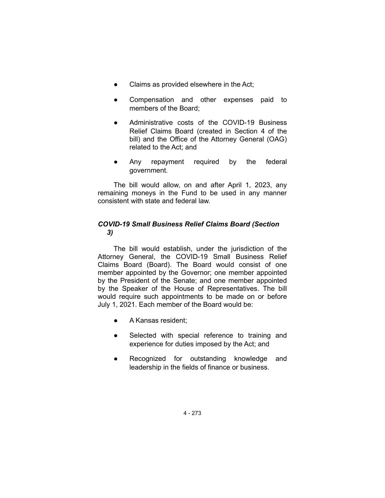- Claims as provided elsewhere in the Act;
- Compensation and other expenses paid to members of the Board;
- Administrative costs of the COVID-19 Business Relief Claims Board (created in Section 4 of the bill) and the Office of the Attorney General (OAG) related to the Act; and
- Any repayment required by the federal government.

The bill would allow, on and after April 1, 2023, any remaining moneys in the Fund to be used in any manner consistent with state and federal law.

# *COVID-19 Small Business Relief Claims Board (Section 3)*

The bill would establish, under the jurisdiction of the Attorney General, the COVID-19 Small Business Relief Claims Board (Board). The Board would consist of one member appointed by the Governor; one member appointed by the President of the Senate; and one member appointed by the Speaker of the House of Representatives. The bill would require such appointments to be made on or before July 1, 2021. Each member of the Board would be:

- A Kansas resident;
- Selected with special reference to training and experience for duties imposed by the Act; and
- Recognized for outstanding knowledge and leadership in the fields of finance or business.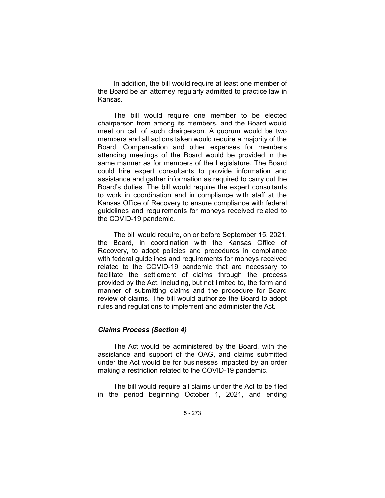In addition, the bill would require at least one member of the Board be an attorney regularly admitted to practice law in Kansas.

The bill would require one member to be elected chairperson from among its members, and the Board would meet on call of such chairperson. A quorum would be two members and all actions taken would require a majority of the Board. Compensation and other expenses for members attending meetings of the Board would be provided in the same manner as for members of the Legislature. The Board could hire expert consultants to provide information and assistance and gather information as required to carry out the Board's duties. The bill would require the expert consultants to work in coordination and in compliance with staff at the Kansas Office of Recovery to ensure compliance with federal guidelines and requirements for moneys received related to the COVID-19 pandemic.

The bill would require, on or before September 15, 2021, the Board, in coordination with the Kansas Office of Recovery, to adopt policies and procedures in compliance with federal guidelines and requirements for moneys received related to the COVID-19 pandemic that are necessary to facilitate the settlement of claims through the process provided by the Act, including, but not limited to, the form and manner of submitting claims and the procedure for Board review of claims. The bill would authorize the Board to adopt rules and regulations to implement and administer the Act.

## *Claims Process (Section 4)*

The Act would be administered by the Board, with the assistance and support of the OAG, and claims submitted under the Act would be for businesses impacted by an order making a restriction related to the COVID-19 pandemic.

The bill would require all claims under the Act to be filed in the period beginning October 1, 2021, and ending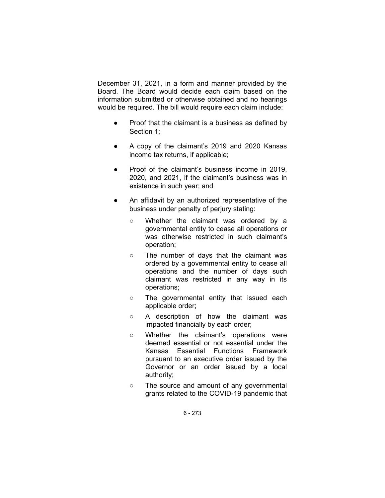December 31, 2021, in a form and manner provided by the Board. The Board would decide each claim based on the information submitted or otherwise obtained and no hearings would be required. The bill would require each claim include:

- Proof that the claimant is a business as defined by Section 1;
- A copy of the claimant's 2019 and 2020 Kansas income tax returns, if applicable;
- Proof of the claimant's business income in 2019, 2020, and 2021, if the claimant's business was in existence in such year; and
- An affidavit by an authorized representative of the business under penalty of perjury stating:
	- Whether the claimant was ordered by a governmental entity to cease all operations or was otherwise restricted in such claimant's operation;
	- The number of days that the claimant was ordered by a governmental entity to cease all operations and the number of days such claimant was restricted in any way in its operations;
	- The governmental entity that issued each applicable order;
	- A description of how the claimant was impacted financially by each order;
	- Whether the claimant's operations were deemed essential or not essential under the Kansas Essential Functions Framework pursuant to an executive order issued by the Governor or an order issued by a local authority;
	- The source and amount of any governmental grants related to the COVID-19 pandemic that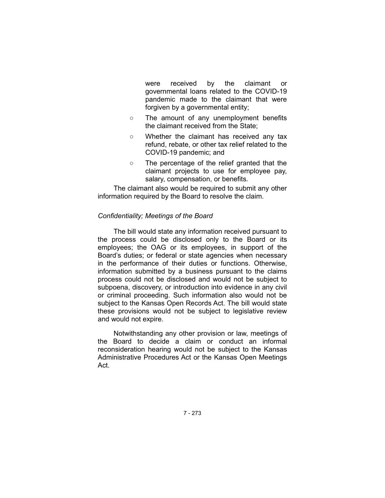were received by the claimant or governmental loans related to the COVID-19 pandemic made to the claimant that were forgiven by a governmental entity;

- The amount of any unemployment benefits the claimant received from the State;
- Whether the claimant has received any tax refund, rebate, or other tax relief related to the COVID-19 pandemic; and
- The percentage of the relief granted that the claimant projects to use for employee pay, salary, compensation, or benefits.

The claimant also would be required to submit any other information required by the Board to resolve the claim.

### *Confidentiality; Meetings of the Board*

The bill would state any information received pursuant to the process could be disclosed only to the Board or its employees; the OAG or its employees, in support of the Board's duties; or federal or state agencies when necessary in the performance of their duties or functions. Otherwise, information submitted by a business pursuant to the claims process could not be disclosed and would not be subject to subpoena, discovery, or introduction into evidence in any civil or criminal proceeding. Such information also would not be subject to the Kansas Open Records Act. The bill would state these provisions would not be subject to legislative review and would not expire.

Notwithstanding any other provision or law, meetings of the Board to decide a claim or conduct an informal reconsideration hearing would not be subject to the Kansas Administrative Procedures Act or the Kansas Open Meetings Act.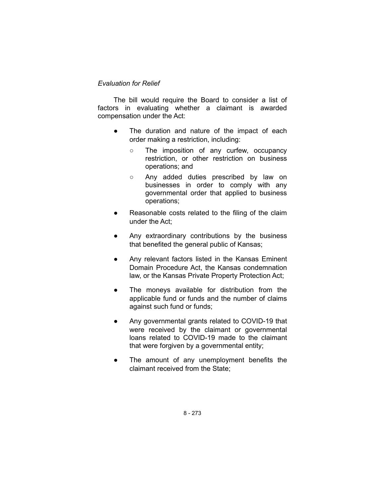## *Evaluation for Relief*

The bill would require the Board to consider a list of factors in evaluating whether a claimant is awarded compensation under the Act:

- The duration and nature of the impact of each order making a restriction, including:
	- The imposition of any curfew, occupancy restriction, or other restriction on business operations; and
	- Any added duties prescribed by law on businesses in order to comply with any governmental order that applied to business operations;
- Reasonable costs related to the filing of the claim under the Act;
- Any extraordinary contributions by the business that benefited the general public of Kansas;
- Any relevant factors listed in the Kansas Eminent Domain Procedure Act, the Kansas condemnation law, or the Kansas Private Property Protection Act;
- The moneys available for distribution from the applicable fund or funds and the number of claims against such fund or funds;
- Any governmental grants related to COVID-19 that were received by the claimant or governmental loans related to COVID-19 made to the claimant that were forgiven by a governmental entity;
- The amount of any unemployment benefits the claimant received from the State;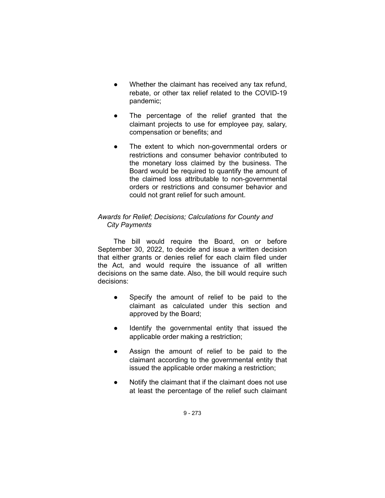- Whether the claimant has received any tax refund, rebate, or other tax relief related to the COVID-19 pandemic;
- The percentage of the relief granted that the claimant projects to use for employee pay, salary, compensation or benefits; and
- The extent to which non-governmental orders or restrictions and consumer behavior contributed to the monetary loss claimed by the business. The Board would be required to quantify the amount of the claimed loss attributable to non-governmental orders or restrictions and consumer behavior and could not grant relief for such amount.

# *Awards for Relief; Decisions; Calculations for County and City Payments*

The bill would require the Board, on or before September 30, 2022, to decide and issue a written decision that either grants or denies relief for each claim filed under the Act, and would require the issuance of all written decisions on the same date. Also, the bill would require such decisions:

- Specify the amount of relief to be paid to the claimant as calculated under this section and approved by the Board;
- Identify the governmental entity that issued the applicable order making a restriction;
- Assign the amount of relief to be paid to the claimant according to the governmental entity that issued the applicable order making a restriction;
- Notify the claimant that if the claimant does not use at least the percentage of the relief such claimant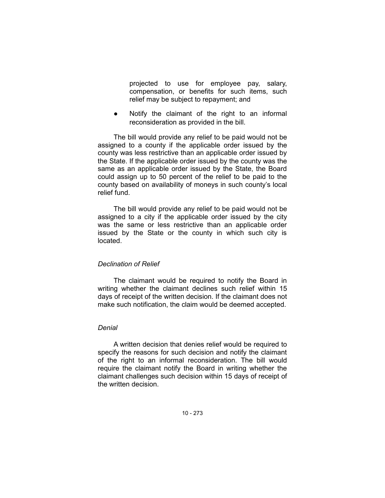projected to use for employee pay, salary, compensation, or benefits for such items, such relief may be subject to repayment; and

Notify the claimant of the right to an informal reconsideration as provided in the bill.

The bill would provide any relief to be paid would not be assigned to a county if the applicable order issued by the county was less restrictive than an applicable order issued by the State. If the applicable order issued by the county was the same as an applicable order issued by the State, the Board could assign up to 50 percent of the relief to be paid to the county based on availability of moneys in such county's local relief fund.

The bill would provide any relief to be paid would not be assigned to a city if the applicable order issued by the city was the same or less restrictive than an applicable order issued by the State or the county in which such city is located.

## *Declination of Relief*

The claimant would be required to notify the Board in writing whether the claimant declines such relief within 15 days of receipt of the written decision. If the claimant does not make such notification, the claim would be deemed accepted.

### *Denial*

A written decision that denies relief would be required to specify the reasons for such decision and notify the claimant of the right to an informal reconsideration. The bill would require the claimant notify the Board in writing whether the claimant challenges such decision within 15 days of receipt of the written decision.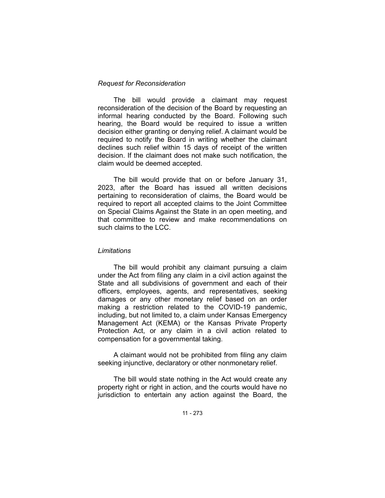### *Request for Reconsideration*

The bill would provide a claimant may request reconsideration of the decision of the Board by requesting an informal hearing conducted by the Board. Following such hearing, the Board would be required to issue a written decision either granting or denying relief. A claimant would be required to notify the Board in writing whether the claimant declines such relief within 15 days of receipt of the written decision. If the claimant does not make such notification, the claim would be deemed accepted.

The bill would provide that on or before January 31, 2023, after the Board has issued all written decisions pertaining to reconsideration of claims, the Board would be required to report all accepted claims to the Joint Committee on Special Claims Against the State in an open meeting, and that committee to review and make recommendations on such claims to the LCC.

#### *Limitations*

The bill would prohibit any claimant pursuing a claim under the Act from filing any claim in a civil action against the State and all subdivisions of government and each of their officers, employees, agents, and representatives, seeking damages or any other monetary relief based on an order making a restriction related to the COVID-19 pandemic, including, but not limited to, a claim under Kansas Emergency Management Act (KEMA) or the Kansas Private Property Protection Act, or any claim in a civil action related to compensation for a governmental taking.

A claimant would not be prohibited from filing any claim seeking injunctive, declaratory or other nonmonetary relief.

The bill would state nothing in the Act would create any property right or right in action, and the courts would have no jurisdiction to entertain any action against the Board, the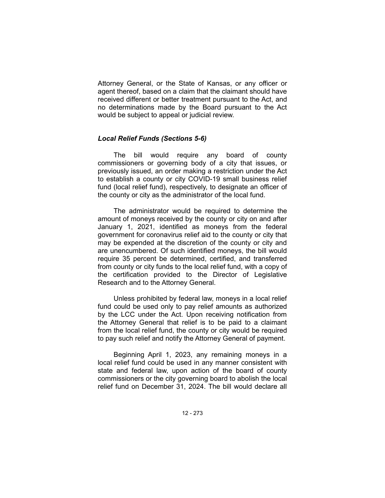Attorney General, or the State of Kansas, or any officer or agent thereof, based on a claim that the claimant should have received different or better treatment pursuant to the Act, and no determinations made by the Board pursuant to the Act would be subject to appeal or judicial review.

## *Local Relief Funds (Sections 5-6)*

The bill would require any board of county commissioners or governing body of a city that issues, or previously issued, an order making a restriction under the Act to establish a county or city COVID-19 small business relief fund (local relief fund), respectively, to designate an officer of the county or city as the administrator of the local fund.

The administrator would be required to determine the amount of moneys received by the county or city on and after January 1, 2021, identified as moneys from the federal government for coronavirus relief aid to the county or city that may be expended at the discretion of the county or city and are unencumbered. Of such identified moneys, the bill would require 35 percent be determined, certified, and transferred from county or city funds to the local relief fund, with a copy of the certification provided to the Director of Legislative Research and to the Attorney General.

Unless prohibited by federal law, moneys in a local relief fund could be used only to pay relief amounts as authorized by the LCC under the Act. Upon receiving notification from the Attorney General that relief is to be paid to a claimant from the local relief fund, the county or city would be required to pay such relief and notify the Attorney General of payment.

Beginning April 1, 2023, any remaining moneys in a local relief fund could be used in any manner consistent with state and federal law, upon action of the board of county commissioners or the city governing board to abolish the local relief fund on December 31, 2024. The bill would declare all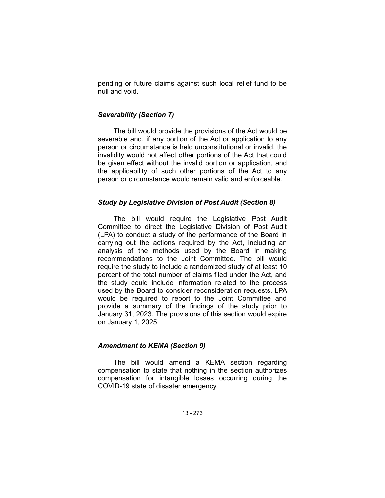pending or future claims against such local relief fund to be null and void.

### *Severability (Section 7)*

The bill would provide the provisions of the Act would be severable and, if any portion of the Act or application to any person or circumstance is held unconstitutional or invalid, the invalidity would not affect other portions of the Act that could be given effect without the invalid portion or application, and the applicability of such other portions of the Act to any person or circumstance would remain valid and enforceable.

### *Study by Legislative Division of Post Audit (Section 8)*

The bill would require the Legislative Post Audit Committee to direct the Legislative Division of Post Audit (LPA) to conduct a study of the performance of the Board in carrying out the actions required by the Act, including an analysis of the methods used by the Board in making recommendations to the Joint Committee. The bill would require the study to include a randomized study of at least 10 percent of the total number of claims filed under the Act, and the study could include information related to the process used by the Board to consider reconsideration requests. LPA would be required to report to the Joint Committee and provide a summary of the findings of the study prior to January 31, 2023. The provisions of this section would expire on January 1, 2025.

## *Amendment to KEMA (Section 9)*

The bill would amend a KEMA section regarding compensation to state that nothing in the section authorizes compensation for intangible losses occurring during the COVID-19 state of disaster emergency.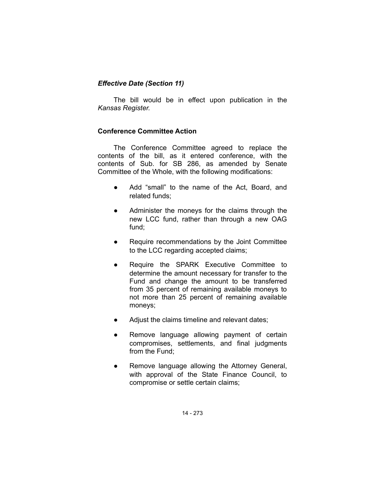# *Effective Date (Section 11)*

The bill would be in effect upon publication in the *Kansas Register.*

# **Conference Committee Action**

The Conference Committee agreed to replace the contents of the bill, as it entered conference, with the contents of Sub. for SB 286, as amended by Senate Committee of the Whole, with the following modifications:

- Add "small" to the name of the Act, Board, and related funds;
- Administer the moneys for the claims through the new LCC fund, rather than through a new OAG fund;
- Require recommendations by the Joint Committee to the LCC regarding accepted claims;
- Require the SPARK Executive Committee to determine the amount necessary for transfer to the Fund and change the amount to be transferred from 35 percent of remaining available moneys to not more than 25 percent of remaining available moneys;
- Adjust the claims timeline and relevant dates;
- Remove language allowing payment of certain compromises, settlements, and final judgments from the Fund;
- Remove language allowing the Attorney General, with approval of the State Finance Council, to compromise or settle certain claims;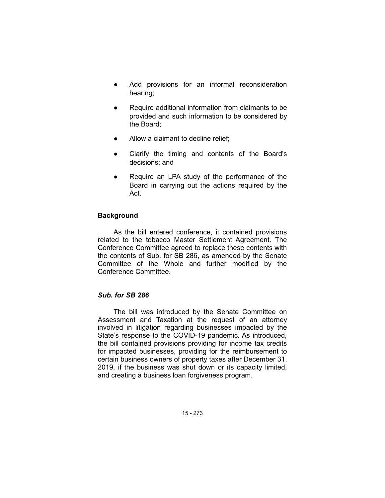- Add provisions for an informal reconsideration hearing;
- Require additional information from claimants to be provided and such information to be considered by the Board;
- Allow a claimant to decline relief;
- Clarify the timing and contents of the Board's decisions; and
- Require an LPA study of the performance of the Board in carrying out the actions required by the Act.

## **Background**

As the bill entered conference, it contained provisions related to the tobacco Master Settlement Agreement. The Conference Committee agreed to replace these contents with the contents of Sub. for SB 286, as amended by the Senate Committee of the Whole and further modified by the Conference Committee.

# *Sub. for SB 286*

The bill was introduced by the Senate Committee on Assessment and Taxation at the request of an attorney involved in litigation regarding businesses impacted by the State's response to the COVID-19 pandemic. As introduced, the bill contained provisions providing for income tax credits for impacted businesses, providing for the reimbursement to certain business owners of property taxes after December 31, 2019, if the business was shut down or its capacity limited, and creating a business loan forgiveness program.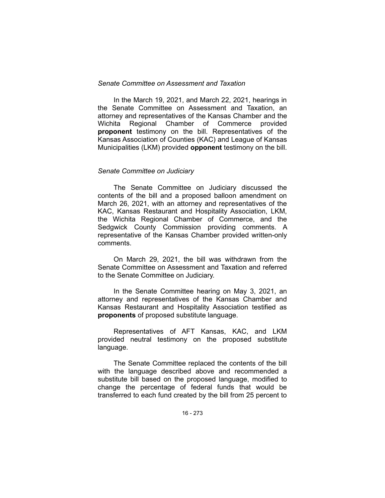### *Senate Committee on Assessment and Taxation*

In the March 19, 2021, and March 22, 2021, hearings in the Senate Committee on Assessment and Taxation, an attorney and representatives of the Kansas Chamber and the Wichita Regional Chamber of Commerce provided **proponent** testimony on the bill. Representatives of the Kansas Association of Counties (KAC) and League of Kansas Municipalities (LKM) provided **opponent** testimony on the bill.

#### *Senate Committee on Judiciary*

The Senate Committee on Judiciary discussed the contents of the bill and a proposed balloon amendment on March 26, 2021, with an attorney and representatives of the KAC, Kansas Restaurant and Hospitality Association, LKM, the Wichita Regional Chamber of Commerce, and the Sedgwick County Commission providing comments. A representative of the Kansas Chamber provided written-only comments.

On March 29, 2021, the bill was withdrawn from the Senate Committee on Assessment and Taxation and referred to the Senate Committee on Judiciary.

In the Senate Committee hearing on May 3, 2021, an attorney and representatives of the Kansas Chamber and Kansas Restaurant and Hospitality Association testified as **proponents** of proposed substitute language.

Representatives of AFT Kansas, KAC, and LKM provided neutral testimony on the proposed substitute language.

The Senate Committee replaced the contents of the bill with the language described above and recommended a substitute bill based on the proposed language, modified to change the percentage of federal funds that would be transferred to each fund created by the bill from 25 percent to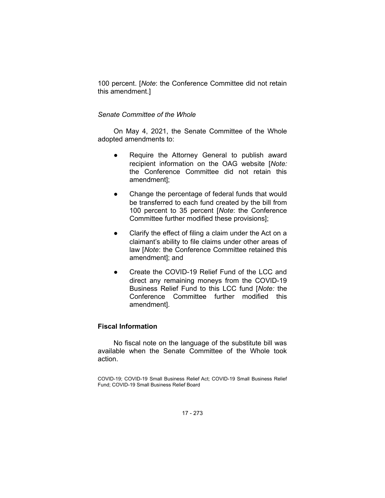100 percent. [*Note*: the Conference Committee did not retain this amendment.]

## *Senate Committee of the Whole*

On May 4, 2021, the Senate Committee of the Whole adopted amendments to:

- Require the Attorney General to publish award recipient information on the OAG website [*Note:* the Conference Committee did not retain this amendment];
- Change the percentage of federal funds that would be transferred to each fund created by the bill from 100 percent to 35 percent [*Note*: the Conference Committee further modified these provisions];
- Clarify the effect of filing a claim under the Act on a claimant's ability to file claims under other areas of law [*Note*: the Conference Committee retained this amendment]; and
- Create the COVID-19 Relief Fund of the LCC and direct any remaining moneys from the COVID-19 Business Relief Fund to this LCC fund [*Note:* the Conference Committee further modified this amendment].

# **Fiscal Information**

No fiscal note on the language of the substitute bill was available when the Senate Committee of the Whole took action.

COVID-19; COVID-19 Small Business Relief Act; COVID-19 Small Business Relief Fund; COVID-19 Small Business Relief Board